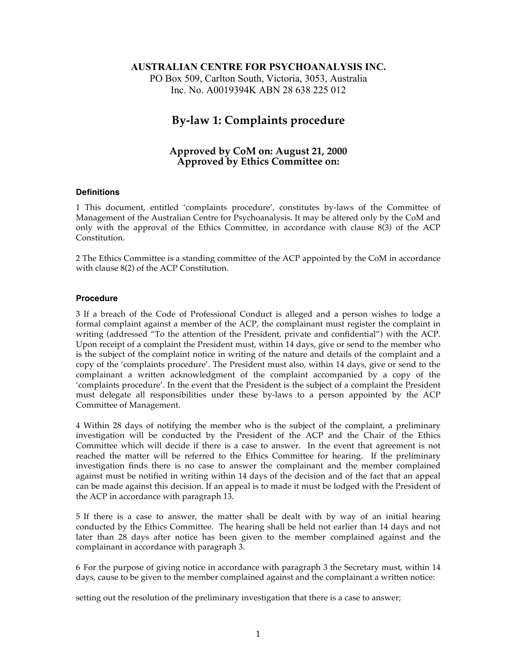### **AUSTRALIAN CENTRE FOR PSYCHOANALYSIS INC.**

PO Box 509, Carlton South, Victoria, 3053, Australia Inc. No. A0019394K ABN 28 638 225 012

# **By-law 1: Complaints procedure**

## **Approved by CoM on: August 21, 2000 Approved by Ethics Committee on:**

#### **Definitions**

1 This document, entitled 'complaints procedure', constitutes by-laws of the Committee of Management of the Australian Centre for Psychoanalysis. It may be altered only by the CoM and only with the approval of the Ethics Committee, in accordance with clause 8(3) of the ACP Constitution.

2 The Ethics Committee is a standing committee of the ACP appointed by the CoM in accordance with clause 8(2) of the ACP Constitution.

#### **Procedure**

3 If a breach of the Code of Professional Conduct is alleged and a person wishes to lodge a formal complaint against a member of the ACP, the complainant must register the complaint in writing (addressed "To the attention of the President, private and confidential") with the ACP. Upon receipt of a complaint the President must, within 14 days, give or send to the member who is the subject of the complaint notice in writing of the nature and details of the complaint and a copy of the 'complaints procedure'. The President must also, within 14 days, give or send to the complainant a written acknowledgment of the complaint accompanied by a copy of the 'complaints procedure'. In the event that the President is the subject of a complaint the President must delegate all responsibilities under these by-laws to a person appointed by the ACP Committee of Management.

4 Within 28 days of notifying the member who is the subject of the complaint, a preliminary investigation will be conducted by the President of the ACP and the Chair of the Ethics Committee which will decide if there is a case to answer. In the event that agreement is not reached the matter will be referred to the Ethics Committee for hearing. If the preliminary investigation finds there is no case to answer the complainant and the member complained against must be notified in writing within 14 days of the decision and of the fact that an appeal can be made against this decision. If an appeal is to made it must be lodged with the President of the ACP in accordance with paragraph 13.

5 If there is a case to answer, the matter shall be dealt with by way of an initial hearing conducted by the Ethics Committee. The hearing shall be held not earlier than 14 days and not later than 28 days after notice has been given to the member complained against and the complainant in accordance with paragraph 3.

6 For the purpose of giving notice in accordance with paragraph 3 the Secretary must, within 14 days, cause to be given to the member complained against and the complainant a written notice:

setting out the resolution of the preliminary investigation that there is a case to answer;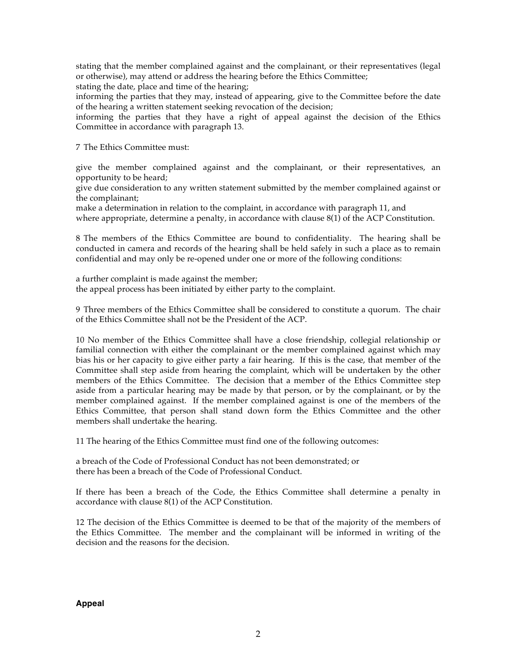stating that the member complained against and the complainant, or their representatives (legal or otherwise), may attend or address the hearing before the Ethics Committee;

stating the date, place and time of the hearing;

informing the parties that they may, instead of appearing, give to the Committee before the date of the hearing a written statement seeking revocation of the decision;

informing the parties that they have a right of appeal against the decision of the Ethics Committee in accordance with paragraph 13.

7 The Ethics Committee must:

give the member complained against and the complainant, or their representatives, an opportunity to be heard;

give due consideration to any written statement submitted by the member complained against or the complainant;

make a determination in relation to the complaint, in accordance with paragraph 11, and where appropriate, determine a penalty, in accordance with clause 8(1) of the ACP Constitution.

8 The members of the Ethics Committee are bound to confidentiality. The hearing shall be conducted in camera and records of the hearing shall be held safely in such a place as to remain confidential and may only be re-opened under one or more of the following conditions:

a further complaint is made against the member; the appeal process has been initiated by either party to the complaint.

9 Three members of the Ethics Committee shall be considered to constitute a quorum. The chair of the Ethics Committee shall not be the President of the ACP.

10 No member of the Ethics Committee shall have a close friendship, collegial relationship or familial connection with either the complainant or the member complained against which may bias his or her capacity to give either party a fair hearing. If this is the case, that member of the Committee shall step aside from hearing the complaint, which will be undertaken by the other members of the Ethics Committee. The decision that a member of the Ethics Committee step aside from a particular hearing may be made by that person, or by the complainant, or by the member complained against. If the member complained against is one of the members of the Ethics Committee, that person shall stand down form the Ethics Committee and the other members shall undertake the hearing.

11 The hearing of the Ethics Committee must find one of the following outcomes:

a breach of the Code of Professional Conduct has not been demonstrated; or there has been a breach of the Code of Professional Conduct.

If there has been a breach of the Code, the Ethics Committee shall determine a penalty in accordance with clause 8(1) of the ACP Constitution.

12 The decision of the Ethics Committee is deemed to be that of the majority of the members of the Ethics Committee. The member and the complainant will be informed in writing of the decision and the reasons for the decision.